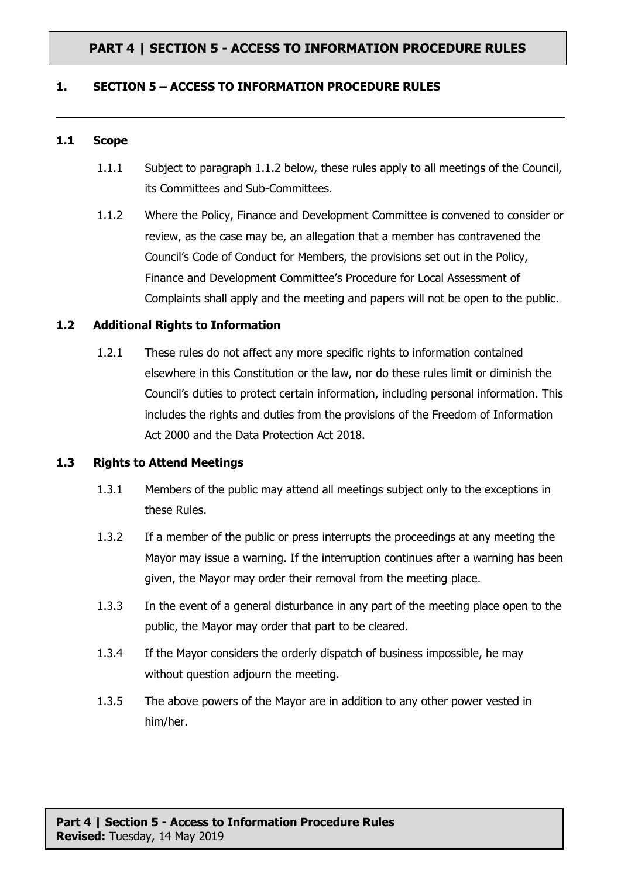### **1. SECTION 5 – ACCESS TO INFORMATION PROCEDURE RULES**

#### **1.1 Scope**

- 1.1.1 Subject to paragraph 1.1.2 below, these rules apply to all meetings of the Council, its Committees and Sub-Committees.
- 1.1.2 Where the Policy, Finance and Development Committee is convened to consider or review, as the case may be, an allegation that a member has contravened the Council's Code of Conduct for Members, the provisions set out in the Policy, Finance and Development Committee's Procedure for Local Assessment of Complaints shall apply and the meeting and papers will not be open to the public.

### **1.2 Additional Rights to Information**

1.2.1 These rules do not affect any more specific rights to information contained elsewhere in this Constitution or the law, nor do these rules limit or diminish the Council's duties to protect certain information, including personal information. This includes the rights and duties from the provisions of the Freedom of Information Act 2000 and the Data Protection Act 2018.

#### **1.3 Rights to Attend Meetings**

- 1.3.1 Members of the public may attend all meetings subject only to the exceptions in these Rules.
- 1.3.2 If a member of the public or press interrupts the proceedings at any meeting the Mayor may issue a warning. If the interruption continues after a warning has been given, the Mayor may order their removal from the meeting place.
- 1.3.3 In the event of a general disturbance in any part of the meeting place open to the public, the Mayor may order that part to be cleared.
- 1.3.4 If the Mayor considers the orderly dispatch of business impossible, he may without question adjourn the meeting.
- 1.3.5 The above powers of the Mayor are in addition to any other power vested in him/her.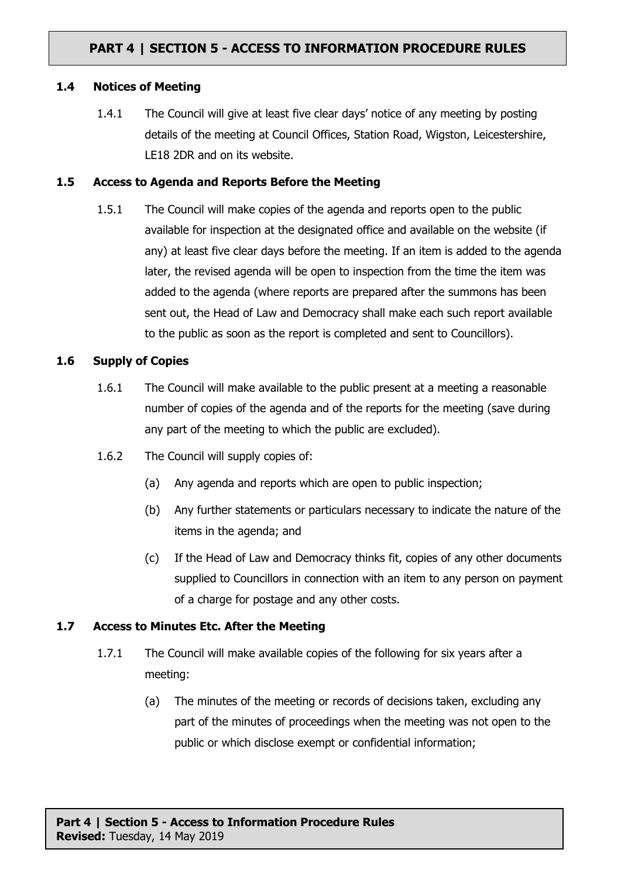### **1.4 Notices of Meeting**

1.4.1 The Council will give at least five clear days' notice of any meeting by posting details of the meeting at Council Offices, Station Road, Wigston, Leicestershire, LE18 2DR and on its website.

#### **1.5 Access to Agenda and Reports Before the Meeting**

1.5.1 The Council will make copies of the agenda and reports open to the public available for inspection at the designated office and available on the website (if any) at least five clear days before the meeting. If an item is added to the agenda later, the revised agenda will be open to inspection from the time the item was added to the agenda (where reports are prepared after the summons has been sent out, the Head of Law and Democracy shall make each such report available to the public as soon as the report is completed and sent to Councillors).

### **1.6 Supply of Copies**

- 1.6.1 The Council will make available to the public present at a meeting a reasonable number of copies of the agenda and of the reports for the meeting (save during any part of the meeting to which the public are excluded).
- 1.6.2 The Council will supply copies of:
	- (a) Any agenda and reports which are open to public inspection;
	- (b) Any further statements or particulars necessary to indicate the nature of the items in the agenda; and
	- (c) If the Head of Law and Democracy thinks fit, copies of any other documents supplied to Councillors in connection with an item to any person on payment of a charge for postage and any other costs.

#### **1.7 Access to Minutes Etc. After the Meeting**

- 1.7.1 The Council will make available copies of the following for six years after a meeting:
	- (a) The minutes of the meeting or records of decisions taken, excluding any part of the minutes of proceedings when the meeting was not open to the public or which disclose exempt or confidential information;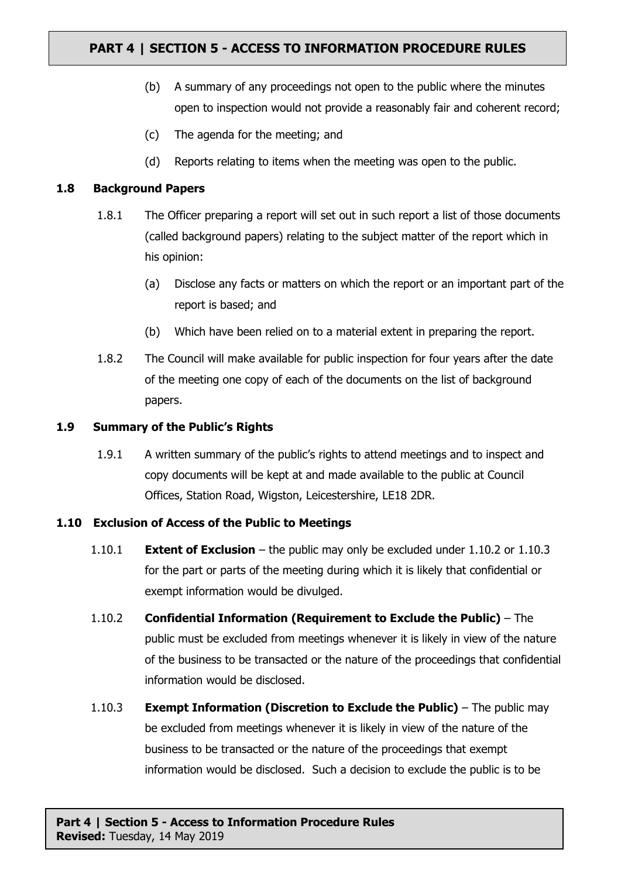- (b) A summary of any proceedings not open to the public where the minutes open to inspection would not provide a reasonably fair and coherent record;
- (c) The agenda for the meeting; and
- (d) Reports relating to items when the meeting was open to the public.

### **1.8 Background Papers**

- 1.8.1 The Officer preparing a report will set out in such report a list of those documents (called background papers) relating to the subject matter of the report which in his opinion:
	- (a) Disclose any facts or matters on which the report or an important part of the report is based; and
	- (b) Which have been relied on to a material extent in preparing the report.
- 1.8.2 The Council will make available for public inspection for four years after the date of the meeting one copy of each of the documents on the list of background papers.

### **1.9 Summary of the Public's Rights**

1.9.1 A written summary of the public's rights to attend meetings and to inspect and copy documents will be kept at and made available to the public at Council Offices, Station Road, Wigston, Leicestershire, LE18 2DR.

#### **1.10 Exclusion of Access of the Public to Meetings**

- 1.10.1 **Extent of Exclusion** the public may only be excluded under 1.10.2 or 1.10.3 for the part or parts of the meeting during which it is likely that confidential or exempt information would be divulged.
- 1.10.2 **Confidential Information (Requirement to Exclude the Public)** The public must be excluded from meetings whenever it is likely in view of the nature of the business to be transacted or the nature of the proceedings that confidential information would be disclosed.
- 1.10.3 **Exempt Information (Discretion to Exclude the Public)** The public may be excluded from meetings whenever it is likely in view of the nature of the business to be transacted or the nature of the proceedings that exempt information would be disclosed. Such a decision to exclude the public is to be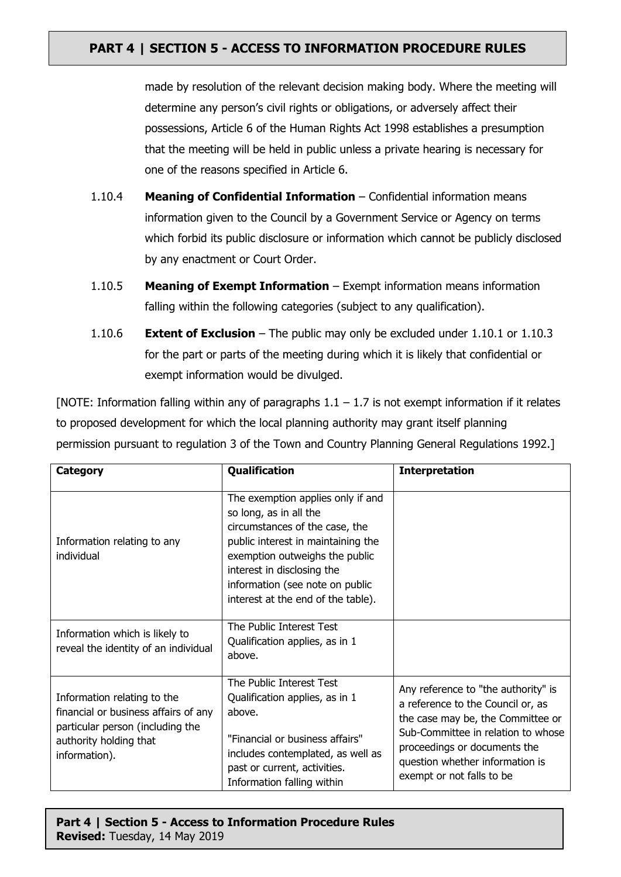made by resolution of the relevant decision making body. Where the meeting will determine any person's civil rights or obligations, or adversely affect their possessions, Article 6 of the Human Rights Act 1998 establishes a presumption that the meeting will be held in public unless a private hearing is necessary for one of the reasons specified in Article 6.

- 1.10.4 **Meaning of Confidential Information** Confidential information means information given to the Council by a Government Service or Agency on terms which forbid its public disclosure or information which cannot be publicly disclosed by any enactment or Court Order.
- 1.10.5 **Meaning of Exempt Information** Exempt information means information falling within the following categories (subject to any qualification).
- 1.10.6 **Extent of Exclusion** The public may only be excluded under 1.10.1 or 1.10.3 for the part or parts of the meeting during which it is likely that confidential or exempt information would be divulged.

[NOTE: Information falling within any of paragraphs  $1.1 - 1.7$  is not exempt information if it relates to proposed development for which the local planning authority may grant itself planning permission pursuant to regulation 3 of the Town and Country Planning General Regulations 1992.]

| <b>Category</b>                                                                                                                                    | Qualification                                                                                                                                                                                                                                                                | <b>Interpretation</b>                                                                                                                                                                                                                               |
|----------------------------------------------------------------------------------------------------------------------------------------------------|------------------------------------------------------------------------------------------------------------------------------------------------------------------------------------------------------------------------------------------------------------------------------|-----------------------------------------------------------------------------------------------------------------------------------------------------------------------------------------------------------------------------------------------------|
| Information relating to any<br>individual                                                                                                          | The exemption applies only if and<br>so long, as in all the<br>circumstances of the case, the<br>public interest in maintaining the<br>exemption outweighs the public<br>interest in disclosing the<br>information (see note on public<br>interest at the end of the table). |                                                                                                                                                                                                                                                     |
| Information which is likely to<br>reveal the identity of an individual                                                                             | The Public Interest Test<br>Qualification applies, as in 1<br>above.                                                                                                                                                                                                         |                                                                                                                                                                                                                                                     |
| Information relating to the<br>financial or business affairs of any<br>particular person (including the<br>authority holding that<br>information). | The Public Interest Test<br>Qualification applies, as in 1<br>above.<br>"Financial or business affairs"<br>includes contemplated, as well as<br>past or current, activities.<br>Information falling within                                                                   | Any reference to "the authority" is<br>a reference to the Council or, as<br>the case may be, the Committee or<br>Sub-Committee in relation to whose<br>proceedings or documents the<br>question whether information is<br>exempt or not falls to be |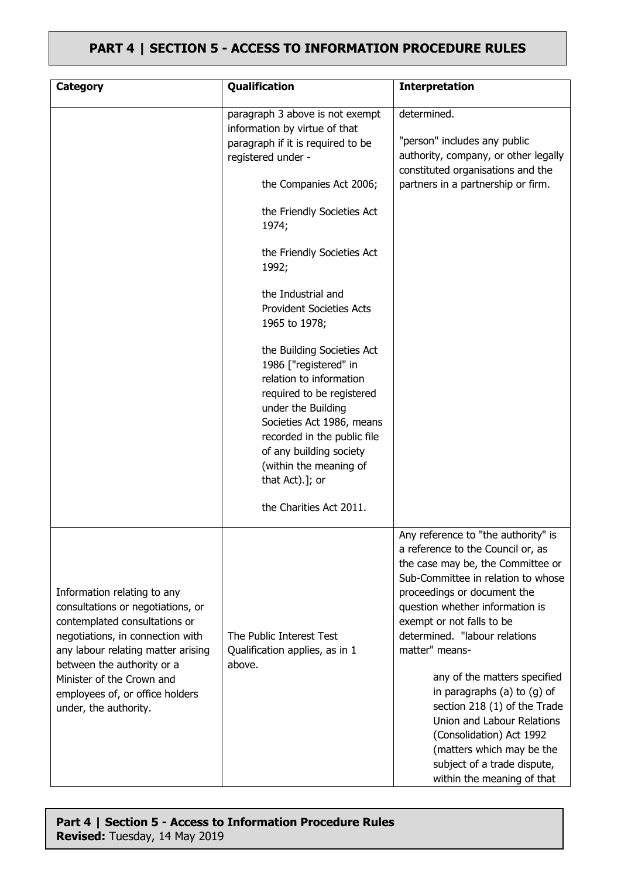| <b>Category</b>                                                                                                                                                                                                                                                                                    | Qualification                                                                                                                                                                                                                                                                                    | <b>Interpretation</b>                                                                                                                                                                                                                                                                                 |
|----------------------------------------------------------------------------------------------------------------------------------------------------------------------------------------------------------------------------------------------------------------------------------------------------|--------------------------------------------------------------------------------------------------------------------------------------------------------------------------------------------------------------------------------------------------------------------------------------------------|-------------------------------------------------------------------------------------------------------------------------------------------------------------------------------------------------------------------------------------------------------------------------------------------------------|
|                                                                                                                                                                                                                                                                                                    | paragraph 3 above is not exempt<br>information by virtue of that<br>paragraph if it is required to be<br>registered under -                                                                                                                                                                      | determined.<br>"person" includes any public<br>authority, company, or other legally<br>constituted organisations and the                                                                                                                                                                              |
|                                                                                                                                                                                                                                                                                                    | the Companies Act 2006;                                                                                                                                                                                                                                                                          | partners in a partnership or firm.                                                                                                                                                                                                                                                                    |
|                                                                                                                                                                                                                                                                                                    | the Friendly Societies Act<br>1974;                                                                                                                                                                                                                                                              |                                                                                                                                                                                                                                                                                                       |
|                                                                                                                                                                                                                                                                                                    | the Friendly Societies Act<br>1992;                                                                                                                                                                                                                                                              |                                                                                                                                                                                                                                                                                                       |
|                                                                                                                                                                                                                                                                                                    | the Industrial and<br><b>Provident Societies Acts</b><br>1965 to 1978;                                                                                                                                                                                                                           |                                                                                                                                                                                                                                                                                                       |
|                                                                                                                                                                                                                                                                                                    | the Building Societies Act<br>1986 ["registered" in<br>relation to information<br>required to be registered<br>under the Building<br>Societies Act 1986, means<br>recorded in the public file<br>of any building society<br>(within the meaning of<br>that Act).]; or<br>the Charities Act 2011. |                                                                                                                                                                                                                                                                                                       |
| Information relating to any<br>consultations or negotiations, or<br>contemplated consultations or<br>negotiations, in connection with<br>any labour relating matter arising<br>between the authority or a<br>Minister of the Crown and<br>employees of, or office holders<br>under, the authority. | The Public Interest Test<br>Qualification applies, as in 1<br>above.                                                                                                                                                                                                                             | Any reference to "the authority" is<br>a reference to the Council or, as<br>the case may be, the Committee or<br>Sub-Committee in relation to whose<br>proceedings or document the<br>question whether information is<br>exempt or not falls to be<br>determined. "labour relations<br>matter" means- |
|                                                                                                                                                                                                                                                                                                    |                                                                                                                                                                                                                                                                                                  | any of the matters specified<br>in paragraphs (a) to (g) of<br>section 218 (1) of the Trade<br>Union and Labour Relations<br>(Consolidation) Act 1992<br>(matters which may be the<br>subject of a trade dispute,<br>within the meaning of that                                                       |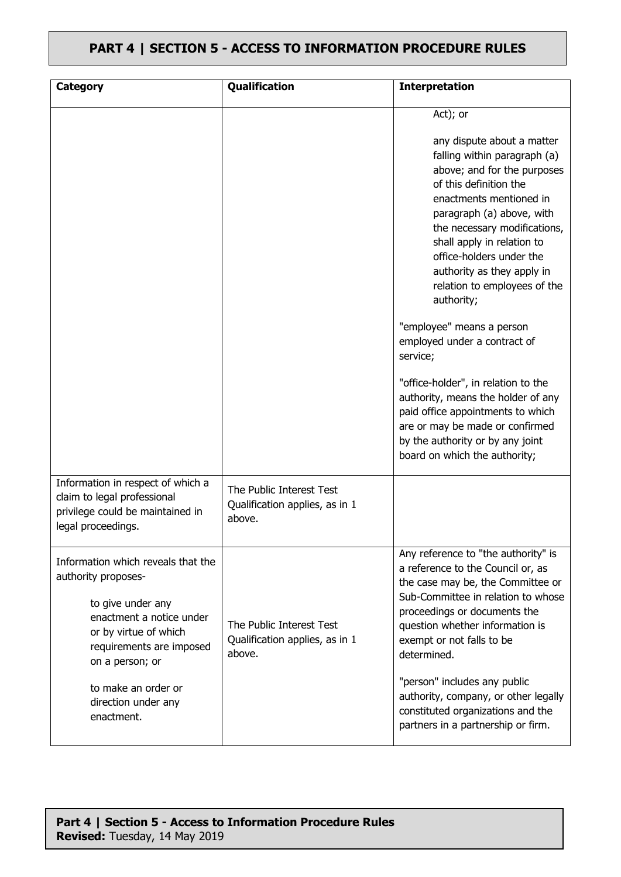| <b>Category</b>                                                                                                                                                                                                                                | Qualification                                                        | <b>Interpretation</b>                                                                                                                                                                                                                                                                                                                                                                                                                                                                                                                                                                                                                                            |
|------------------------------------------------------------------------------------------------------------------------------------------------------------------------------------------------------------------------------------------------|----------------------------------------------------------------------|------------------------------------------------------------------------------------------------------------------------------------------------------------------------------------------------------------------------------------------------------------------------------------------------------------------------------------------------------------------------------------------------------------------------------------------------------------------------------------------------------------------------------------------------------------------------------------------------------------------------------------------------------------------|
| Information in respect of which a<br>claim to legal professional                                                                                                                                                                               | The Public Interest Test                                             | Act); or<br>any dispute about a matter<br>falling within paragraph (a)<br>above; and for the purposes<br>of this definition the<br>enactments mentioned in<br>paragraph (a) above, with<br>the necessary modifications,<br>shall apply in relation to<br>office-holders under the<br>authority as they apply in<br>relation to employees of the<br>authority;<br>"employee" means a person<br>employed under a contract of<br>service;<br>"office-holder", in relation to the<br>authority, means the holder of any<br>paid office appointments to which<br>are or may be made or confirmed<br>by the authority or by any joint<br>board on which the authority; |
| privilege could be maintained in<br>legal proceedings.                                                                                                                                                                                         | Qualification applies, as in 1<br>above.                             |                                                                                                                                                                                                                                                                                                                                                                                                                                                                                                                                                                                                                                                                  |
| Information which reveals that the<br>authority proposes-<br>to give under any<br>enactment a notice under<br>or by virtue of which<br>requirements are imposed<br>on a person; or<br>to make an order or<br>direction under any<br>enactment. | The Public Interest Test<br>Qualification applies, as in 1<br>above. | Any reference to "the authority" is<br>a reference to the Council or, as<br>the case may be, the Committee or<br>Sub-Committee in relation to whose<br>proceedings or documents the<br>question whether information is<br>exempt or not falls to be<br>determined.<br>"person" includes any public<br>authority, company, or other legally<br>constituted organizations and the<br>partners in a partnership or firm.                                                                                                                                                                                                                                            |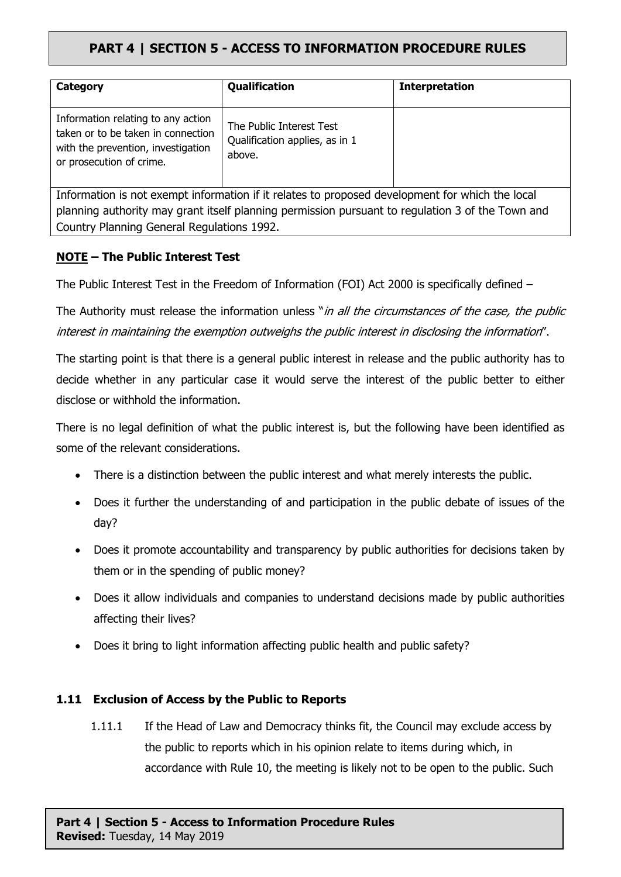| Category                                                                                                                                   | Qualification                                                        | <b>Interpretation</b> |  |  |
|--------------------------------------------------------------------------------------------------------------------------------------------|----------------------------------------------------------------------|-----------------------|--|--|
| Information relating to any action<br>taken or to be taken in connection<br>with the prevention, investigation<br>or prosecution of crime. | The Public Interest Test<br>Qualification applies, as in 1<br>above. |                       |  |  |
| Information is not exempt information if it relates to proposed development for which the local                                            |                                                                      |                       |  |  |
| planning authority may grant itself planning permission pursuant to regulation 3 of the Town and                                           |                                                                      |                       |  |  |

Country Planning General Regulations 1992.

### **NOTE – The Public Interest Test**

The Public Interest Test in the Freedom of Information (FOI) Act 2000 is specifically defined –

The Authority must release the information unless "*in all the circumstances of the case, the public interest in maintaining the exemption outweighs the public interest in disclosing the information*".

The starting point is that there is a general public interest in release and the public authority has to decide whether in any particular case it would serve the interest of the public better to either disclose or withhold the information.

There is no legal definition of what the public interest is, but the following have been identified as some of the relevant considerations.

- There is a distinction between the public interest and what merely interests the public.
- Does it further the understanding of and participation in the public debate of issues of the day?
- Does it promote accountability and transparency by public authorities for decisions taken by them or in the spending of public money?
- Does it allow individuals and companies to understand decisions made by public authorities affecting their lives?
- Does it bring to light information affecting public health and public safety?

### **1.11 Exclusion of Access by the Public to Reports**

1.11.1 If the Head of Law and Democracy thinks fit, the Council may exclude access by the public to reports which in his opinion relate to items during which, in accordance with Rule 10, the meeting is likely not to be open to the public. Such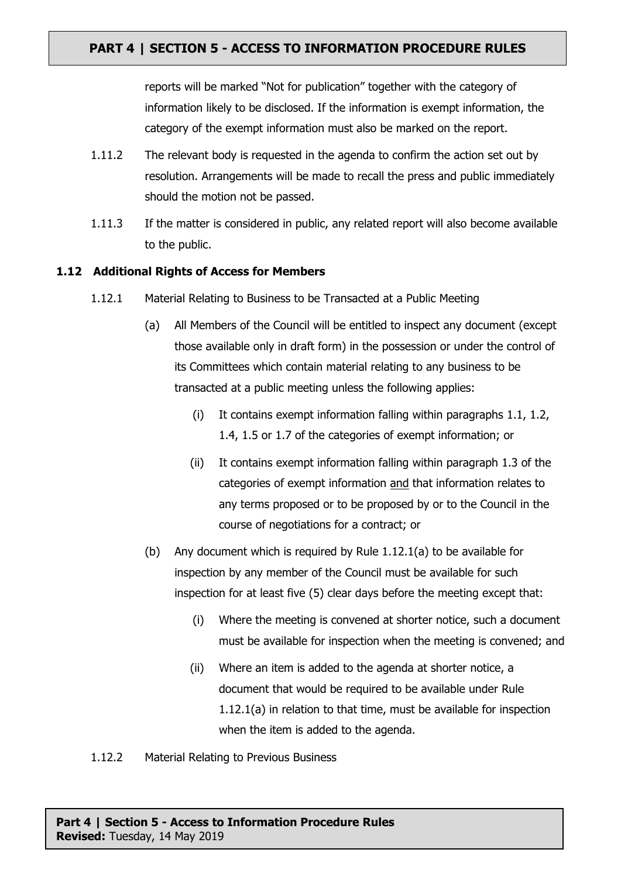reports will be marked "Not for publication" together with the category of information likely to be disclosed. If the information is exempt information, the category of the exempt information must also be marked on the report.

- 1.11.2 The relevant body is requested in the agenda to confirm the action set out by resolution. Arrangements will be made to recall the press and public immediately should the motion not be passed.
- 1.11.3 If the matter is considered in public, any related report will also become available to the public.

### **1.12 Additional Rights of Access for Members**

- 1.12.1 Material Relating to Business to be Transacted at a Public Meeting
	- (a) All Members of the Council will be entitled to inspect any document (except those available only in draft form) in the possession or under the control of its Committees which contain material relating to any business to be transacted at a public meeting unless the following applies:
		- (i) It contains exempt information falling within paragraphs 1.1, 1.2, 1.4, 1.5 or 1.7 of the categories of exempt information; or
		- (ii) It contains exempt information falling within paragraph 1.3 of the categories of exempt information and that information relates to any terms proposed or to be proposed by or to the Council in the course of negotiations for a contract; or
	- (b) Any document which is required by Rule 1.12.1(a) to be available for inspection by any member of the Council must be available for such inspection for at least five (5) clear days before the meeting except that:
		- (i) Where the meeting is convened at shorter notice, such a document must be available for inspection when the meeting is convened; and
		- (ii) Where an item is added to the agenda at shorter notice, a document that would be required to be available under Rule 1.12.1(a) in relation to that time, must be available for inspection when the item is added to the agenda.

#### 1.12.2 Material Relating to Previous Business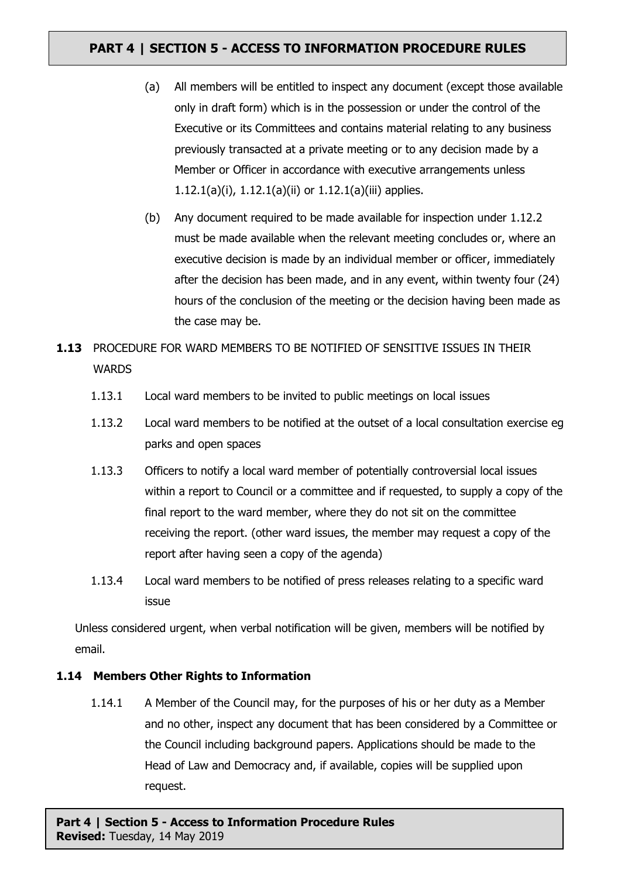- (a) All members will be entitled to inspect any document (except those available only in draft form) which is in the possession or under the control of the Executive or its Committees and contains material relating to any business previously transacted at a private meeting or to any decision made by a Member or Officer in accordance with executive arrangements unless 1.12.1(a)(i), 1.12.1(a)(ii) or 1.12.1(a)(iii) applies.
- (b) Any document required to be made available for inspection under 1.12.2 must be made available when the relevant meeting concludes or, where an executive decision is made by an individual member or officer, immediately after the decision has been made, and in any event, within twenty four (24) hours of the conclusion of the meeting or the decision having been made as the case may be.
- **1.13** PROCEDURE FOR WARD MEMBERS TO BE NOTIFIED OF SENSITIVE ISSUES IN THEIR **WARDS** 
	- 1.13.1 Local ward members to be invited to public meetings on local issues
	- 1.13.2 Local ward members to be notified at the outset of a local consultation exercise eg parks and open spaces
	- 1.13.3 Officers to notify a local ward member of potentially controversial local issues within a report to Council or a committee and if requested, to supply a copy of the final report to the ward member, where they do not sit on the committee receiving the report. (other ward issues, the member may request a copy of the report after having seen a copy of the agenda)
	- 1.13.4 Local ward members to be notified of press releases relating to a specific ward issue

Unless considered urgent, when verbal notification will be given, members will be notified by email.

### **1.14 Members Other Rights to Information**

1.14.1 A Member of the Council may, for the purposes of his or her duty as a Member and no other, inspect any document that has been considered by a Committee or the Council including background papers. Applications should be made to the Head of Law and Democracy and, if available, copies will be supplied upon request.